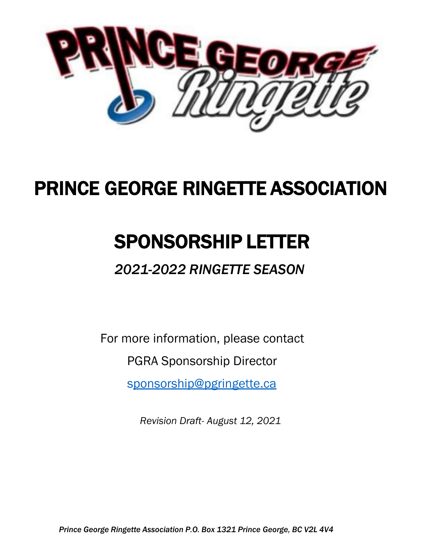

## PRINCE GEORGE RINGETTE ASSOCIATION

## SPONSORSHIP LETTER

## *2021-2022 RINGETTE SEASON*

For more information, please contact

PGRA Sponsorship Director

[sponsorship@pgringette.ca](mailto:sponsorship@pgringette.ca)

*Revision Draft- August 12, 2021*

*Prince George Ringette Association P.O. Box 1321 Prince George, BC V2L 4V4*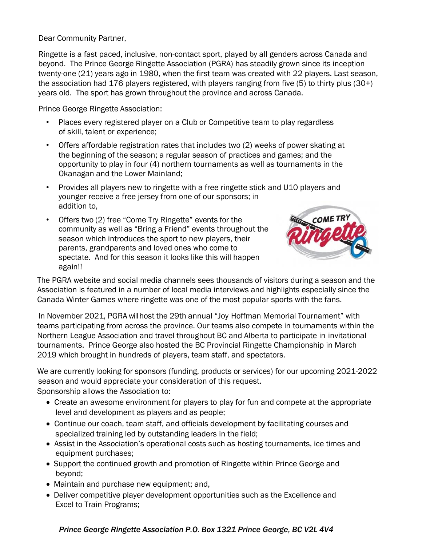Dear Community Partner,

Ringette is a fast paced, inclusive, non-contact sport, played by all genders across Canada and beyond. The Prince George Ringette Association (PGRA) has steadily grown since its inception twenty-one (21) years ago in 1980, when the first team was created with 22 players. Last season, the association had 176 players registered, with players ranging from five (5) to thirty plus (30+) years old. The sport has grown throughout the province and across Canada.

Prince George Ringette Association:

- Places every registered player on a Club or Competitive team to play regardless of skill, talent or experience;
- Offers affordable registration rates that includes two (2) weeks of power skating at the beginning of the season; a regular season of practices and games; and the opportunity to play in four (4) northern tournaments as well as tournaments in the Okanagan and the Lower Mainland;
- Provides all players new to ringette with a free ringette stick and U10 players and younger receive a free jersey from one of our sponsors; in addition to,
- Offers two (2) free "Come Try Ringette" events for the community as well as "Bring a Friend" events throughout the season which introduces the sport to new players, their parents, grandparents and loved ones who come to spectate. And for this season it looks like this will happen again!!



The PGRA website and social media channels sees thousands of visitors during a season and the Association is featured in a number of local media interviews and highlights especially since the Canada Winter Games where ringette was one of the most popular sports with the fans.

In November 2021, PGRA will host the 29th annual "Joy Hoffman Memorial Tournament" with teams participating from across the province. Our teams also compete in tournaments within the Northern League Association and travel throughout BC and Alberta to participate in invitational tournaments. Prince George also hosted the BC Provincial Ringette Championship in March 2019 which brought in hundreds of players, team staff, and spectators.

We are currently looking for sponsors (funding, products or services) for our upcoming 2021-2022 season and would appreciate your consideration of this request. Sponsorship allows the Association to:

- Create an awesome environment for players to play for fun and compete at the appropriate level and development as players and as people;
- Continue our coach, team staff, and officials development by facilitating courses and specialized training led by outstanding leaders in the field;
- Assist in the Association's operational costs such as hosting tournaments, ice times and equipment purchases;
- Support the continued growth and promotion of Ringette within Prince George and beyond;
- Maintain and purchase new equipment; and,
- Deliver competitive player development opportunities such as the Excellence and Excel to Train Programs;

## *Prince George Ringette Association P.O. Box 1321 Prince George, BC V2L 4V4*